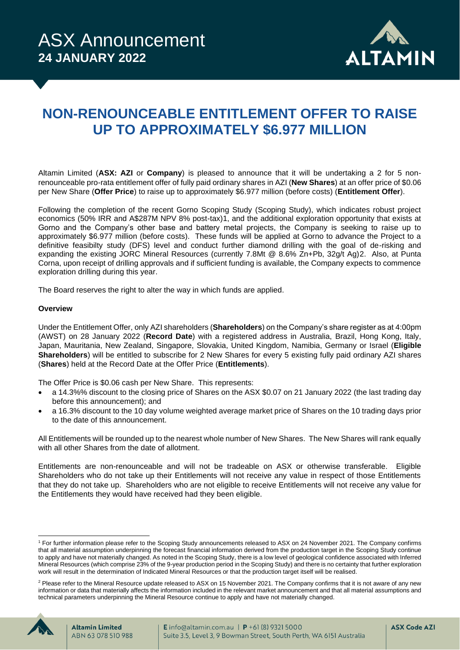

# **NON-RENOUNCEABLE ENTITLEMENT OFFER TO RAISE UP TO APPROXIMATELY \$6.977 MILLION**

Altamin Limited (**ASX: AZI** or **Company**) is pleased to announce that it will be undertaking a 2 for 5 nonrenounceable pro-rata entitlement offer of fully paid ordinary shares in AZI (**New Shares**) at an offer price of \$0.06 per New Share (**Offer Price**) to raise up to approximately \$6.977 million (before costs) (**Entitlement Offer**).

Following the completion of the recent Gorno Scoping Study (Scoping Study), which indicates robust project economics (50% IRR and A\$287M NPV 8% post-tax)1, and the additional exploration opportunity that exists at Gorno and the Company's other base and battery metal projects, the Company is seeking to raise up to approximately \$6.977 million (before costs). These funds will be applied at Gorno to advance the Project to a definitive feasibilty study (DFS) level and conduct further diamond drilling with the goal of de-risking and expanding the existing JORC Mineral Resources (currently 7.8Mt @ 8.6% Zn+Pb, 32g/t Ag)2. Also, at Punta Corna, upon receipt of drilling approvals and if sufficient funding is available, the Company expects to commence exploration drilling during this year.

The Board reserves the right to alter the way in which funds are applied.

#### **Overview**

Under the Entitlement Offer, only AZI shareholders (**Shareholders**) on the Company's share register as at 4:00pm (AWST) on 28 January 2022 (**Record Date**) with a registered address in Australia, Brazil, Hong Kong, Italy, Japan, Mauritania, New Zealand, Singapore, Slovakia, United Kingdom, Namibia, Germany or Israel (**Eligible Shareholders**) will be entitled to subscribe for 2 New Shares for every 5 existing fully paid ordinary AZI shares (**Shares**) held at the Record Date at the Offer Price (**Entitlements**).

The Offer Price is \$0.06 cash per New Share. This represents:

- a 14.3%% discount to the closing price of Shares on the ASX \$0.07 on 21 January 2022 (the last trading day before this announcement); and
- a 16.3% discount to the 10 day volume weighted average market price of Shares on the 10 trading days prior to the date of this announcement.

All Entitlements will be rounded up to the nearest whole number of New Shares. The New Shares will rank equally with all other Shares from the date of allotment.

Entitlements are non-renounceable and will not be tradeable on ASX or otherwise transferable. Eligible Shareholders who do not take up their Entitlements will not receive any value in respect of those Entitlements that they do not take up. Shareholders who are not eligible to receive Entitlements will not receive any value for the Entitlements they would have received had they been eligible.

<sup>&</sup>lt;sup>2</sup> Please refer to the Mineral Resource update released to ASX on 15 November 2021. The Company confirms that it is not aware of any new information or data that materially affects the information included in the relevant market announcement and that all material assumptions and technical parameters underpinning the Mineral Resource continue to apply and have not materially changed.



<sup>1</sup> For further information please refer to the Scoping Study announcements released to ASX on 24 November 2021. The Company confirms that all material assumption underpinning the forecast financial information derived from the production target in the Scoping Study continue to apply and have not materially changed. As noted in the Scoping Study, there is a low level of geological confidence associated with Inferred Mineral Resources (which comprise 23% of the 9-year production period in the Scoping Study) and there is no certainty that further exploration work will result in the determination of Indicated Mineral Resources or that the production target itself will be realised.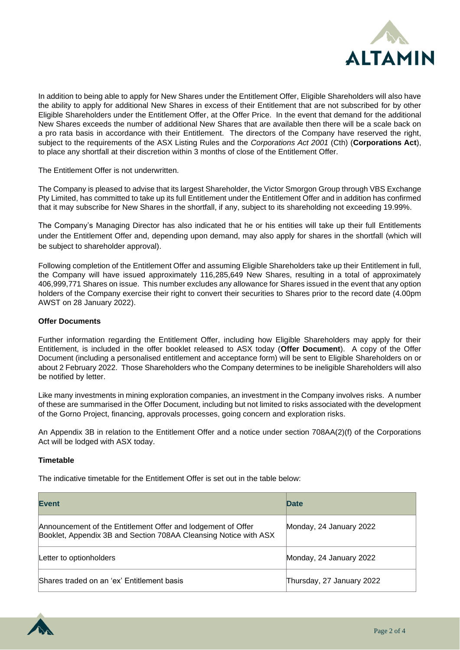

In addition to being able to apply for New Shares under the Entitlement Offer, Eligible Shareholders will also have the ability to apply for additional New Shares in excess of their Entitlement that are not subscribed for by other Eligible Shareholders under the Entitlement Offer, at the Offer Price. In the event that demand for the additional New Shares exceeds the number of additional New Shares that are available then there will be a scale back on a pro rata basis in accordance with their Entitlement. The directors of the Company have reserved the right, subject to the requirements of the ASX Listing Rules and the *Corporations Act 2001* (Cth) (**Corporations Act**), to place any shortfall at their discretion within 3 months of close of the Entitlement Offer.

The Entitlement Offer is not underwritten.

The Company is pleased to advise that its largest Shareholder, the Victor Smorgon Group through VBS Exchange Pty Limited, has committed to take up its full Entitlement under the Entitlement Offer and in addition has confirmed that it may subscribe for New Shares in the shortfall, if any, subject to its shareholding not exceeding 19.99%.

The Company's Managing Director has also indicated that he or his entities will take up their full Entitlements under the Entitlement Offer and, depending upon demand, may also apply for shares in the shortfall (which will be subject to shareholder approval).

Following completion of the Entitlement Offer and assuming Eligible Shareholders take up their Entitlement in full, the Company will have issued approximately 116,285,649 New Shares, resulting in a total of approximately 406,999,771 Shares on issue. This number excludes any allowance for Shares issued in the event that any option holders of the Company exercise their right to convert their securities to Shares prior to the record date (4.00pm AWST on 28 January 2022).

#### **Offer Documents**

Further information regarding the Entitlement Offer, including how Eligible Shareholders may apply for their Entitlement, is included in the offer booklet released to ASX today (**Offer Document**). A copy of the Offer Document (including a personalised entitlement and acceptance form) will be sent to Eligible Shareholders on or about 2 February 2022. Those Shareholders who the Company determines to be ineligible Shareholders will also be notified by letter.

Like many investments in mining exploration companies, an investment in the Company involves risks. A number of these are summarised in the Offer Document, including but not limited to risks associated with the development of the Gorno Project, financing, approvals processes, going concern and exploration risks.

An Appendix 3B in relation to the Entitlement Offer and a notice under section 708AA(2)(f) of the Corporations Act will be lodged with ASX today.

## **Timetable**

The indicative timetable for the Entitlement Offer is set out in the table below:

| <b>Event</b>                                                                                                                     | Date                      |
|----------------------------------------------------------------------------------------------------------------------------------|---------------------------|
| Announcement of the Entitlement Offer and lodgement of Offer<br>Booklet, Appendix 3B and Section 708AA Cleansing Notice with ASX | Monday, 24 January 2022   |
| Letter to optionholders                                                                                                          | Monday, 24 January 2022   |
| Shares traded on an 'ex' Entitlement basis                                                                                       | Thursday, 27 January 2022 |

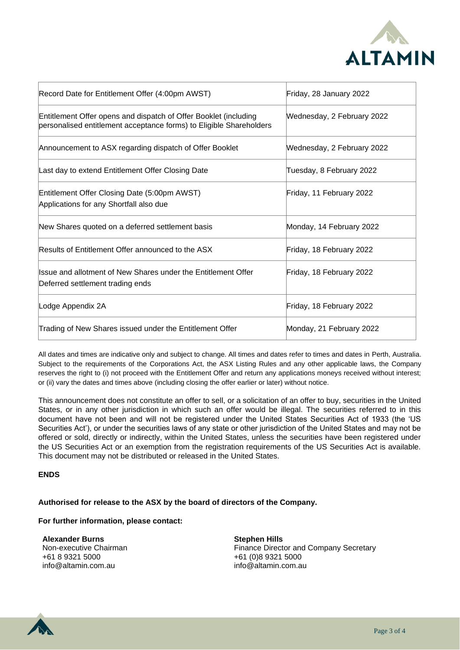

| Record Date for Entitlement Offer (4:00pm AWST)                                                                                         | Friday, 28 January 2022    |
|-----------------------------------------------------------------------------------------------------------------------------------------|----------------------------|
| Entitlement Offer opens and dispatch of Offer Booklet (including<br>personalised entitlement acceptance forms) to Eligible Shareholders | Wednesday, 2 February 2022 |
| Announcement to ASX regarding dispatch of Offer Booklet                                                                                 | Wednesday, 2 February 2022 |
| Last day to extend Entitlement Offer Closing Date                                                                                       | Tuesday, 8 February 2022   |
| Entitlement Offer Closing Date (5:00pm AWST)<br>Applications for any Shortfall also due                                                 | Friday, 11 February 2022   |
| New Shares quoted on a deferred settlement basis                                                                                        | Monday, 14 February 2022   |
| Results of Entitlement Offer announced to the ASX                                                                                       | Friday, 18 February 2022   |
| Issue and allotment of New Shares under the Entitlement Offer<br>Deferred settlement trading ends                                       | Friday, 18 February 2022   |
| Lodge Appendix 2A                                                                                                                       | Friday, 18 February 2022   |
| Trading of New Shares issued under the Entitlement Offer                                                                                | Monday, 21 February 2022   |

All dates and times are indicative only and subject to change. All times and dates refer to times and dates in Perth, Australia. Subject to the requirements of the Corporations Act, the ASX Listing Rules and any other applicable laws, the Company reserves the right to (i) not proceed with the Entitlement Offer and return any applications moneys received without interest; or (ii) vary the dates and times above (including closing the offer earlier or later) without notice.

This announcement does not constitute an offer to sell, or a solicitation of an offer to buy, securities in the United States, or in any other jurisdiction in which such an offer would be illegal. The securities referred to in this document have not been and will not be registered under the United States Securities Act of 1933 (the 'US Securities Act'), or under the securities laws of any state or other jurisdiction of the United States and may not be offered or sold, directly or indirectly, within the United States, unless the securities have been registered under the US Securities Act or an exemption from the registration requirements of the US Securities Act is available. This document may not be distributed or released in the United States.

## **ENDS**

## **Authorised for release to the ASX by the board of directors of the Company.**

#### **For further information, please contact:**

**Alexander Burns** Non-executive Chairman +61 8 9321 5000 info@altamin.com.au

**Stephen Hills** Finance Director and Company Secretary +61 (0)8 9321 5000 info@altamin.com.au